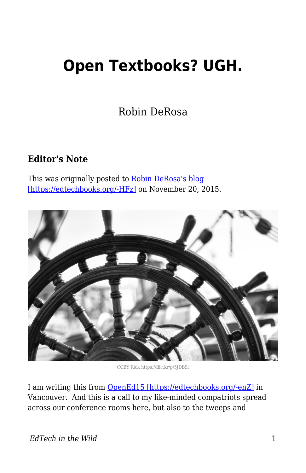## **Open Textbooks? UGH.**

Robin DeRosa

## **Editor's Note**

This was originally posted to [Robin DeRosa's blog](http://robinderosa.net/uncategorized/open-textbooks-ugh/) [\[https://edtechbooks.org/-HFz\]](http://robinderosa.net/uncategorized/open-textbooks-ugh/) on November 20, 2015.



CCBY Rick https://flic.kr/p/5JDB9i

I am writing this from [OpenEd15 \[https://edtechbooks.org/-enZ\]](http://openedconference.org/2015/) in Vancouver. And this is a call to my like-minded compatriots spread across our conference rooms here, but also to the tweeps and

*EdTech in the Wild* 1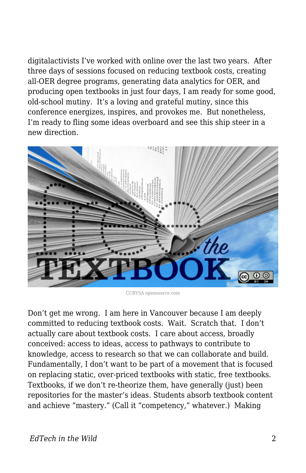digitalactivists I've worked with online over the last two years. After three days of sessions focused on reducing textbook costs, creating all-OER degree programs, generating data analytics for OER, and producing open textbooks in just four days, I am ready for some good, old-school mutiny. It's a loving and grateful mutiny, since this conference energizes, inspires, and provokes me. But nonetheless, I'm ready to fling some ideas overboard and see this ship steer in a new direction.



CCBYSA opensource.com

Don't get me wrong. I am here in Vancouver because I am deeply committed to reducing textbook costs. Wait. Scratch that. I don't actually care about textbook costs. I care about access, broadly conceived: access to ideas, access to pathways to contribute to knowledge, access to research so that we can collaborate and build. Fundamentally, I don't want to be part of a movement that is focused on replacing static, over-priced textbooks with static, free textbooks. Textbooks, if we don't re-theorize them, have generally (just) been repositories for the master's ideas. Students absorb textbook content and achieve "mastery." (Call it "competency," whatever.) Making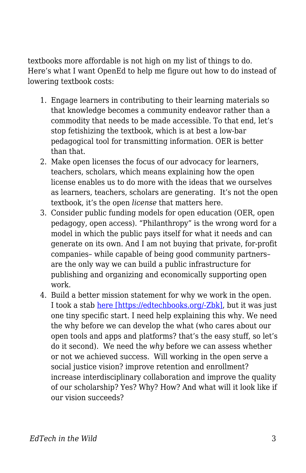textbooks more affordable is not high on my list of things to do. Here's what I want OpenEd to help me figure out how to do instead of lowering textbook costs:

- 1. Engage learners in contributing to their learning materials so that knowledge becomes a community endeavor rather than a commodity that needs to be made accessible. To that end, let's stop fetishizing the textbook, which is at best a low-bar pedagogical tool for transmitting information. OER is better than that.
- 2. Make open licenses the focus of our advocacy for learners, teachers, scholars, which means explaining how the open license enables us to do more with the ideas that we ourselves as learners, teachers, scholars are generating. It's not the open textbook, it's the open *license* that matters here.
- 3. Consider public funding models for open education (OER, open pedagogy, open access). "Philanthropy" is the wrong word for a model in which the public pays itself for what it needs and can generate on its own. And I am not buying that private, for-profit companies– while capable of being good community partners– are the only way we can build a public infrastructure for publishing and organizing and economically supporting open work.
- 4. Build a better mission statement for why we work in the open. I took a stab [here \[https://edtechbooks.org/-Zbk\]](http://www.hybridpedagogy.com/journal/working-inat-public/), but it was just one tiny specific start. I need help explaining this why. We need the why before we can develop the what (who cares about our open tools and apps and platforms? that's the easy stuff, so let's do it second). We need the *why* before we can assess whether or not we achieved success. Will working in the open serve a social justice vision? improve retention and enrollment? increase interdisciplinary collaboration and improve the quality of our scholarship? Yes? Why? How? And what will it look like if our vision succeeds?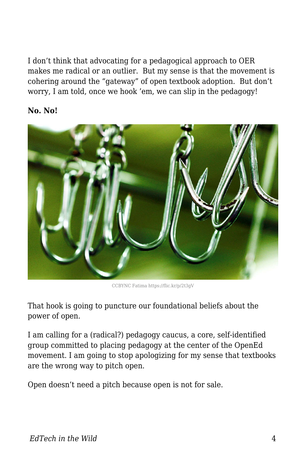I don't think that advocating for a pedagogical approach to OER makes me radical or an outlier. But my sense is that the movement is cohering around the "gateway" of open textbook adoption. But don't worry, I am told, once we hook 'em, we can slip in the pedagogy!

## **No. No!**



CCBYNC Fatima https://flic.kr/p/2t3gV

That hook is going to puncture our foundational beliefs about the power of open.

I am calling for a (radical?) pedagogy caucus, a core, self-identified group committed to placing pedagogy at the center of the OpenEd movement. I am going to stop apologizing for my sense that textbooks are the wrong way to pitch open.

Open doesn't need a pitch because open is not for sale.